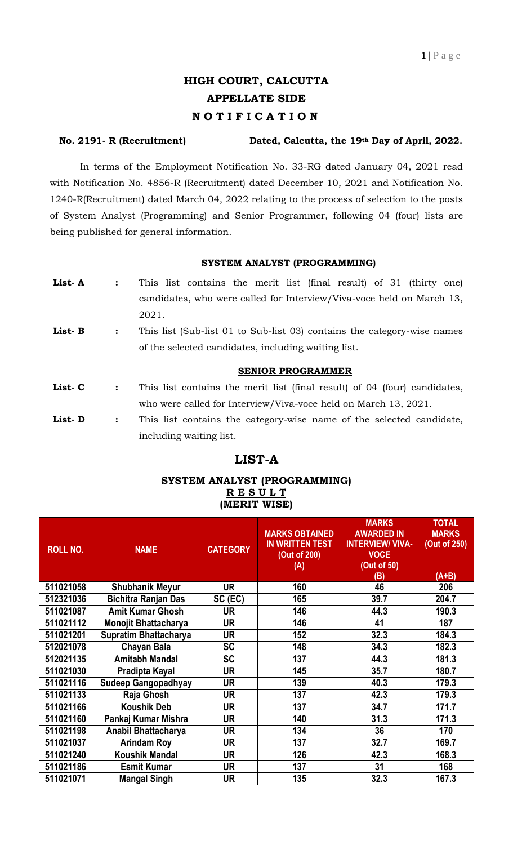# **HIGH COURT, CALCUTTA APPELLATE SIDE N O T I F I C A T I O N**

### **No. 2191- R (Recruitment) Dated, Calcutta, the 19th Day of April, 2022.**

In terms of the Employment Notification No. 33-RG dated January 04, 2021 read with Notification No. 4856-R (Recruitment) dated December 10, 2021 and Notification No. 1240-R(Recruitment) dated March 04, 2022 relating to the process of selection to the posts of System Analyst (Programming) and Senior Programmer, following 04 (four) lists are being published for general information.

#### **SYSTEM ANALYST (PROGRAMMING)**

| List-A | $\ddot{\phantom{a}}$ | This list contains the merit list (final result) of 31 (thirty one)       |
|--------|----------------------|---------------------------------------------------------------------------|
|        |                      | candidates, who were called for Interview/Viva-voce held on March 13,     |
|        |                      | 2021.                                                                     |
| List-B | $\ddot{\cdot}$       | This list (Sub-list 01 to Sub-list 03) contains the category-wise names   |
|        |                      | of the selected candidates, including waiting list.                       |
|        |                      |                                                                           |
|        |                      | <b>SENIOR PROGRAMMER</b>                                                  |
| List-C | $\ddot{\cdot}$       | This list contains the merit list (final result) of 04 (four) candidates, |
|        |                      | who were called for Interview/Viva-voce held on March 13, 2021.           |
| List-D | $\ddot{\phantom{a}}$ | This list contains the category-wise name of the selected candidate,      |

# **LIST-A**

### **SYSTEM ANALYST (PROGRAMMING) R E S U L T (MERIT WISE)**

| <b>ROLL NO.</b> | <b>NAME</b>                  | <b>CATEGORY</b> | <b>MARKS OBTAINED</b><br><b>IN WRITTEN TEST</b><br>(Out of 200)<br>(A) | <b>MARKS</b><br><b>AWARDED IN</b><br><b>INTERVIEW/ VIVA-</b><br><b>VOCE</b><br>(Out of 50)<br>(B) | <b>TOTAL</b><br><b>MARKS</b><br>(Out of 250)<br>$(A+B)$ |
|-----------------|------------------------------|-----------------|------------------------------------------------------------------------|---------------------------------------------------------------------------------------------------|---------------------------------------------------------|
| 511021058       | <b>Shubhanik Meyur</b>       | <b>UR</b>       | 160                                                                    | 46                                                                                                | 206                                                     |
| 512321036       | <b>Bichitra Ranjan Das</b>   | SC (EC)         | 165                                                                    | 39.7                                                                                              | 204.7                                                   |
| 511021087       | <b>Amit Kumar Ghosh</b>      | UR              | 146                                                                    | 44.3                                                                                              | 190.3                                                   |
| 511021112       | <b>Monojit Bhattacharya</b>  | UR              | 146                                                                    | 41                                                                                                | 187                                                     |
| 511021201       | <b>Supratim Bhattacharya</b> | UR              | 152                                                                    | 32.3                                                                                              | 184.3                                                   |
| 512021078       | <b>Chayan Bala</b>           | <b>SC</b>       | 148                                                                    | 34.3                                                                                              | 182.3                                                   |
| 512021135       | <b>Amitabh Mandal</b>        | <b>SC</b>       | 137                                                                    | 44.3                                                                                              | 181.3                                                   |
| 511021030       | Pradipta Kayal               | UR              | 145                                                                    | 35.7                                                                                              | 180.7                                                   |
| 511021116       | Sudeep Gangopadhyay          | UR              | 139                                                                    | 40.3                                                                                              | 179.3                                                   |
| 511021133       | Raja Ghosh                   | UR              | 137                                                                    | 42.3                                                                                              | 179.3                                                   |
| 511021166       | <b>Koushik Deb</b>           | UR              | 137                                                                    | 34.7                                                                                              | 171.7                                                   |
| 511021160       | Pankaj Kumar Mishra          | <b>UR</b>       | 140                                                                    | 31.3                                                                                              | 171.3                                                   |
| 511021198       | Anabil Bhattacharya          | UR              | 134                                                                    | 36                                                                                                | 170                                                     |
| 511021037       | <b>Arindam Roy</b>           | UR              | 137                                                                    | 32.7                                                                                              | 169.7                                                   |
| 511021240       | <b>Koushik Mandal</b>        | UR              | 126                                                                    | 42.3                                                                                              | 168.3                                                   |
| 511021186       | <b>Esmit Kumar</b>           | <b>UR</b>       | 137                                                                    | 31                                                                                                | 168                                                     |
| 511021071       | <b>Mangal Singh</b>          | UR              | 135                                                                    | 32.3                                                                                              | 167.3                                                   |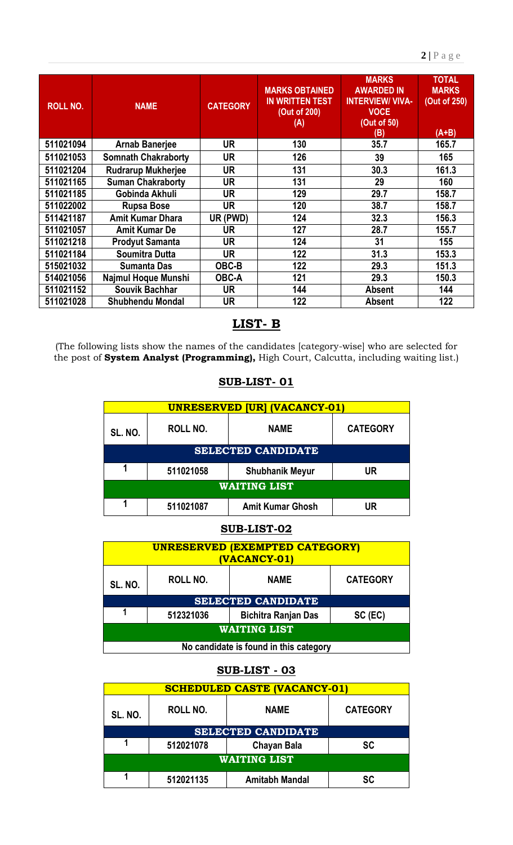| <b>ROLL NO.</b> | <b>NAME</b>                | <b>CATEGORY</b> | <b>MARKS OBTAINED</b><br><b>IN WRITTEN TEST</b><br>(Out of 200)<br>(A) | <b>MARKS</b><br><b>AWARDED IN</b><br><b>INTERVIEW/ VIVA-</b><br><b>VOCE</b><br>(Out of 50)<br>(B) | <b>TOTAL</b><br><b>MARKS</b><br>(Out of 250)<br>$(A+B)$ |
|-----------------|----------------------------|-----------------|------------------------------------------------------------------------|---------------------------------------------------------------------------------------------------|---------------------------------------------------------|
| 511021094       | <b>Arnab Banerjee</b>      | UR              | 130                                                                    | 35.7                                                                                              | 165.7                                                   |
| 511021053       | <b>Somnath Chakraborty</b> | <b>UR</b>       | 126                                                                    | 39                                                                                                | 165                                                     |
| 511021204       | <b>Rudrarup Mukherjee</b>  | <b>UR</b>       | 131                                                                    | 30.3                                                                                              | 161.3                                                   |
| 511021165       | <b>Suman Chakraborty</b>   | <b>UR</b>       | 131                                                                    | 29                                                                                                | 160                                                     |
| 511021185       | Gobinda Akhuli             | <b>UR</b>       | 129                                                                    | 29.7                                                                                              | 158.7                                                   |
| 511022002       | <b>Rupsa Bose</b>          | <b>UR</b>       | 120                                                                    | 38.7                                                                                              | 158.7                                                   |
| 511421187       | <b>Amit Kumar Dhara</b>    | UR (PWD)        | 124                                                                    | 32.3                                                                                              | 156.3                                                   |
| 511021057       | <b>Amit Kumar De</b>       | <b>UR</b>       | 127                                                                    | 28.7                                                                                              | 155.7                                                   |
| 511021218       | <b>Prodyut Samanta</b>     | <b>UR</b>       | 124                                                                    | 31                                                                                                | 155                                                     |
| 511021184       | Soumitra Dutta             | <b>UR</b>       | 122                                                                    | 31.3                                                                                              | 153.3                                                   |
| 515021032       | <b>Sumanta Das</b>         | OBC-B           | 122                                                                    | 29.3                                                                                              | 151.3                                                   |
| 514021056       | Najmul Hoque Munshi        | <b>OBC-A</b>    | 121                                                                    | 29.3                                                                                              | 150.3                                                   |
| 511021152       | <b>Souvik Bachhar</b>      | UR              | 144                                                                    | <b>Absent</b>                                                                                     | 144                                                     |
| 511021028       | <b>Shubhendu Mondal</b>    | <b>UR</b>       | 122                                                                    | <b>Absent</b>                                                                                     | 122                                                     |

# **LIST- B**

(The following lists show the names of the candidates [category-wise] who are selected for the post of **System Analyst (Programming),** High Court, Calcutta, including waiting list.)

| <b>UNRESERVED [UR] (VACANCY-01)</b> |                           |                         |                 |  |  |  |
|-------------------------------------|---------------------------|-------------------------|-----------------|--|--|--|
| SL. NO.                             | <b>ROLL NO.</b>           | <b>NAME</b>             | <b>CATEGORY</b> |  |  |  |
|                                     | <b>SELECTED CANDIDATE</b> |                         |                 |  |  |  |
|                                     | 511021058                 | <b>Shubhanik Meyur</b>  | UR              |  |  |  |
| <b>WAITING LIST</b>                 |                           |                         |                 |  |  |  |
|                                     | 511021087                 | <b>Amit Kumar Ghosh</b> | JR              |  |  |  |

## **SUB-LIST- 01**

## **SUB-LIST-02**

| <b>UNRESERVED (EXEMPTED CATEGORY)</b><br>(VACANCY-01)        |                           |                            |         |  |  |
|--------------------------------------------------------------|---------------------------|----------------------------|---------|--|--|
| ROLL NO.<br><b>CATEGORY</b><br><b>NAME</b><br><b>SL. NO.</b> |                           |                            |         |  |  |
|                                                              | <b>SELECTED CANDIDATE</b> |                            |         |  |  |
|                                                              | 512321036                 | <b>Bichitra Ranjan Das</b> | SC (EC) |  |  |
| <b>WAITING LIST</b>                                          |                           |                            |         |  |  |
| No candidate is found in this category                       |                           |                            |         |  |  |

# **SUB-LIST - 03**

| <b>SCHEDULED CASTE (VACANCY-01)</b>                          |           |                           |           |  |  |
|--------------------------------------------------------------|-----------|---------------------------|-----------|--|--|
| <b>CATEGORY</b><br>ROLL NO.<br><b>NAME</b><br><b>SL. NO.</b> |           |                           |           |  |  |
|                                                              |           | <b>SELECTED CANDIDATE</b> |           |  |  |
|                                                              | 512021078 | <b>Chayan Bala</b>        | <b>SC</b> |  |  |
| <b>WAITING LIST</b>                                          |           |                           |           |  |  |
|                                                              | 512021135 | <b>Amitabh Mandal</b>     | SC        |  |  |